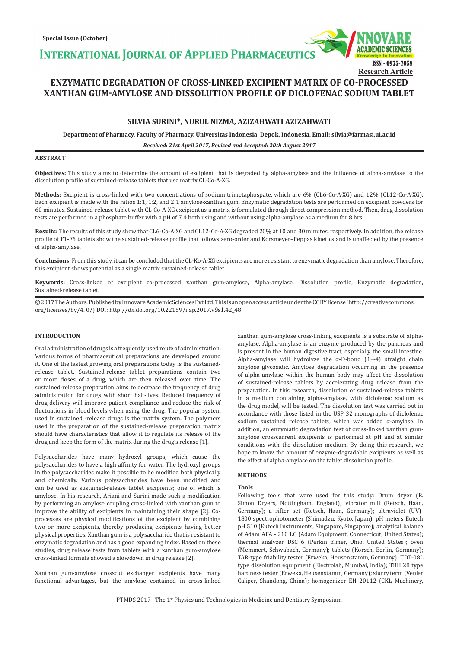**INTERNATIONAL JOURNAL OF APPLIED PHARMACEUTIC** 

# **ENZYMATIC DEGRADATION OF CROSS-LINKED EXCIPIENT MATRIX OF CO-PROCESSED XANTHAN GUM-AMYLOSE AND DISSOLUTION PROFILE OF DICLOFENAC SODIUM TABLET**

# **SILVIA SURINI\*, NURUL NIZMA, AZIZAHWATI AZIZAHWATI**

**Department of Pharmacy, Faculty of Pharmacy, Universitas Indonesia, Depok, Indonesia. Email: silvia@farmasi.ui.ac.id**

*Received: 21st April 2017, Revised and Accepted: 20th August 2017*

# **ABSTRACT**

**Objectives:** This study aims to determine the amount of excipient that is degraded by alpha-amylase and the influence of alpha-amylase to the dissolution profile of sustained-release tablets that use matrix CL-Co-A-XG.

**Methods:** Excipient is cross-linked with two concentrations of sodium trimetaphospate, which are 6% (CL6-Co-A-XG) and 12% (CL12-Co-A-XG). Each excipient is made with the ratios 1:1, 1:2, and 2:1 amylose-xanthan gum. Enzymatic degradation tests are performed on excipient powders for 60 minutes. Sustained-release tablet with CL-Co-A-XG excipient as a matrix is formulated through direct compression method. Then, drug dissolution tests are performed in a phosphate buffer with a pH of 7.4 both using and without using alpha-amylase as a medium for 8 hrs.

**Results:** The results of this study show that CL6-Co-A-XG and CL12-Co-A-XG degraded 20% at 10 and 30 minutes, respectively. In addition, the release profile of F1-F6 tablets show the sustained-release profile that follows zero-order and Korsmeyer–Peppas kinetics and is unaffected by the presence of alpha-amylase.

**Conclusions:** From this study, it can be concluded that the CL-Ko-A-XG excipients are more resistant to enzymatic degradation than amylose. Therefore, this excipient shows potential as a single matrix sustained-release tablet.

**Keywords:** Cross-linked of excipient co-processed xanthan gum-amylose, Alpha-amylase, Dissolution profile, Enzymatic degradation, Sustained-release tablet.

© 2017 The Authors. Published by Innovare Academic Sciences Pvt Ltd. This is an open access article under the CC BY license (http://creativecommons. org/licenses/by/4. 0/) DOI: http://dx.doi.org/10.22159/ijap.2017.v9s1.42\_48

# **INTRODUCTION**

Oral administration of drugs is a frequently used route of administration. Various forms of pharmaceutical preparations are developed around it. One of the fastest growing oral preparations today is the sustainedrelease tablet. Sustained-release tablet preparations contain two or more doses of a drug, which are then released over time. The sustained-release preparation aims to decrease the frequency of drug administration for drugs with short half-lives. Reduced frequency of drug delivery will improve patient compliance and reduce the risk of fluctuations in blood levels when using the drug. The popular system used in sustained -release drugs is the matrix system. The polymers used in the preparation of the sustained-release preparation matrix should have characteristics that allow it to regulate its release of the drug and keep the form of the matrix during the drug's release [1].

Polysaccharides have many hydroxyl groups, which cause the polysaccharides to have a high affinity for water. The hydroxyl groups in the polysaccharides make it possible to be modified both physically and chemically. Various polysaccharides have been modified and can be used as sustained-release tablet excipients; one of which is amylose. In his research, Ariani and Surini made such a modification by performing an amylose coupling cross-linked with xanthan gum to improve the ability of excipients in maintaining their shape [2]. Coprocesses are physical modifications of the excipient by combining two or more excipients, thereby producing excipients having better physical properties. Xanthan gum is a polysaccharide that is resistant to enzymatic degradation and has a good expanding index. Based on these studies, drug release tests from tablets with a xanthan gum-amylose cross-linked formula showed a slowdown in drug release [2].

Xanthan gum-amylose crosscut exchanger excipients have many functional advantages, but the amylose contained in cross-linked xanthan gum-amylose cross-linking excipients is a substrate of alphaamylase. Alpha-amylase is an enzyme produced by the pancreas and is present in the human digestive tract, especially the small intestine. Alpha-amylase will hydrolyze the  $\alpha$ -D-bond  $(1\rightarrow 4)$  straight chain amylose glycosidic. Amylose degradation occurring in the presence of alpha-amylase within the human body may affect the dissolution of sustained-release tablets by accelerating drug release from the preparation. In this research, dissolution of sustained-release tablets in a medium containing alpha-amylase, with diclofenac sodium as the drug model, will be tested. The dissolution test was carried out in accordance with those listed in the USP 32 monographs of diclofenac sodium sustained release tablets, which was added α-amylase. In addition, an enzymatic degradation test of cross-linked xanthan gumamylose crosscurrent excipients is performed at pH and at similar conditions with the dissolution medium. By doing this research, we hope to know the amount of enzyme-degradable excipients as well as the effect of alpha-amylase on the tablet dissolution profile.

ISSN - 0975-7058

**Research Article**

# **METHODS**

#### **Tools**

Following tools that were used for this study: Drum dryer (R. Simon Dryers, Nottingham, England); vibrator mill (Retsch, Haan, Germany); a sifter set (Retsch, Haan, Germany); ultraviolet (UV)- 1800 spectrophotometer (Shimadzu, Kyoto, Japan); pH meters Eutech pH 510 (Eutech Instruments, Singapore, Singapore); analytical balance of Adam AFA - 210 LC (Adam Equipment, Connecticut, United States); thermal analyzer DSC 6 (Perkin Elmer, Ohio, United States); oven (Memmert, Schwabach, Germany); tablets (Korsch, Berlin, Germany); TAR-type friability tester (Erweka, Heusenstamm, Germany); TDT-08L type dissolution equipment (Electrolab, Mumbai, India); TBH 28 type hardness tester (Erweka, Heusenstamm, Germany); slurry term (Venier Caliper, Shandong, China); homogenizer EH 20112 (CKL Machinery,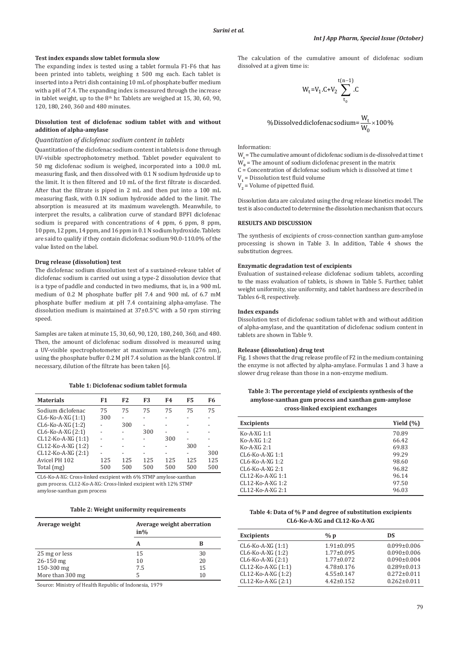### **Test index expands slow tablet formula slow**

The expanding index is tested using a tablet formula F1-F6 that has been printed into tablets, weighing  $\pm$  500 mg each. Each tablet is inserted into a Petri dish containing 10 mL of phosphate buffer medium with a pH of 7.4. The expanding index is measured through the increase in tablet weight, up to the  $8<sup>th</sup>$  hr. Tablets are weighed at 15, 30, 60, 90, 120, 180, 240, 360 and 480 minutes.

# **Dissolution test of diclofenac sodium tablet with and without addition of alpha-amylase**

# *Quantitation of diclofenac sodium content in tablets*

Quantitation of the diclofenac sodium content in tablets is done through UV-visible spectrophotometry method. Tablet powder equivalent to 50 mg diclofenac sodium is weighed, incorporated into a 100.0 mL measuring flask, and then dissolved with 0.1 N sodium hydroxide up to the limit. It is then filtered and 10 mL of the first filtrate is discarded. After that the filtrate is piped in 2 mL and then put into a 100 mL measuring flask, with 0.1N sodium hydroxide added to the limit. The absorption is measured at its maximum wavelength. Meanwhile, to interpret the results, a calibration curve of standard BPFI diclofenac sodium is prepared with concentrations of 4 ppm, 6 ppm, 8 ppm, 10 ppm, 12 ppm, 14 ppm, and 16 ppm in 0.1 N sodium hydroxide. Tablets are said to qualify if they contain diclofenac sodium 90.0-110.0% of the value listed on the label.

### **Drug release (dissolution) test**

The diclofenac sodium dissolution test of a sustained-release tablet of diclofenac sodium is carried out using a type-2 dissolution device that is a type of paddle and conducted in two mediums, that is, in a 900 mL medium of 0.2 M phosphate buffer pH 7.4 and 900 mL of 6.7 mM phosphate buffer medium at pH 7.4 containing alpha-amylase. The dissolution medium is maintained at 37±0.5°C with a 50 rpm stirring speed.

Samples are taken at minute 15, 30, 60, 90, 120, 180, 240, 360, and 480. Then, the amount of diclofenac sodium dissolved is measured using a UV-visible spectrophotometer at maximum wavelength (276 nm), using the phosphate buffer 0.2 M pH 7.4 solution as the blank control. If necessary, dilution of the filtrate has been taken [6].

# **Table 1: Diclofenac sodium tablet formula**

| <b>Materials</b>     | F1  | F <sub>2</sub>           | F3  | F4  | F5  | F6  |
|----------------------|-----|--------------------------|-----|-----|-----|-----|
| Sodium diclofenac    | 75  | 75                       | 75  | 75  | 75  | 75  |
| $CL6-Ko-A-XG (1:1)$  | 300 |                          |     |     |     |     |
| CL6-Ko-A-XG (1:2)    |     | 300                      |     |     |     |     |
| $CL6-Ko-A-XG (2:1)$  |     | $\overline{\phantom{0}}$ | 300 |     |     |     |
| CL12-Ko-A-XG (1:1)   |     |                          |     | 300 |     |     |
| CL12-Ko-A-XG (1:2)   |     |                          |     |     | 300 |     |
| $CL12-Ko-A-XG (2:1)$ |     |                          |     |     | -   | 300 |
| Avicel PH 102        | 125 | 125                      | 125 | 125 | 125 | 125 |
| Total (mg)           | 500 | 500                      | 500 | 500 | 500 | 500 |

CL6-Ko-A-XG: Cross-linked excipient with 6% STMP amylose-xanthan gum process. CL12-Ko-A-XG: Cross-linked excipient with 12% STMP amylose-xanthan gum process

|  |  |  | Table 2: Weight uniformity requirements |
|--|--|--|-----------------------------------------|
|--|--|--|-----------------------------------------|

| Average weight   | Average weight aberration<br>in% |    |
|------------------|----------------------------------|----|
|                  | А                                | в  |
| 25 mg or less    | 15                               | 30 |
| $26 - 150$ mg    | 10                               | 20 |
| 150-300 mg       | 7.5                              | 15 |
| More than 300 mg | 5                                | 10 |

Source: Ministry of Health Republic of Indonesia, 1979

The calculation of the cumulative amount of diclofenac sodium dissolved at a given time is:

W =t 1V .C+V .C t t n 0 2 ( ) −1 ∑

$$
\% \text{Dis solved diclofenac sodium} \text{=}\frac{\text{W}_{\text{t}}}{\text{W}_{\text{0}}} \times 100\%
$$

Information:

- $W_t$  = The cumulative amount of diclofenac sodium is de-dissolved at time t  $W_0$  = The amount of sodium diclofenac present in the matrix
- C = Concentration of diclofenac sodium which is dissolved at time t
- $V_1$  = Dissolution test fluid volume

 $V_2$  = Volume of pipetted fluid.

Dissolution data are calculated using the drug release kinetics model. The test is also conducted to determine the dissolution mechanism that occurs.

# **RESULTS AND DISCUSSION**

The synthesis of excipients of cross-connection xanthan gum-amylose processing is shown in Table 3. In addition, Table 4 shows the substitution degrees.

# **Enzymatic degradation test of excipients**

Evaluation of sustained-release diclofenac sodium tablets, according to the mass evaluation of tablets, is shown in Table 5. Further, tablet weight uniformity, size uniformity, and tablet hardness are described in Tables 6-8, respectively.

#### **Index expands**

Dissolution test of diclofenac sodium tablet with and without addition of alpha-amylase, and the quantitation of diclofenac sodium content in tablets are shown in Table 9.

# **Release (dissolution) drug test**

Fig. 1 shows that the drug release profile of F2 in the medium containing the enzyme is not affected by alpha-amylase. Formulas 1 and 3 have a slower drug release than those in a non-enzyme medium.

| Table 3: The percentage yield of excipients synthesis of the |
|--------------------------------------------------------------|
| amylose-xanthan gum process and xanthan gum-amylose          |
| cross-linked excipient exchanges                             |

| <b>Excipients</b> | Yield $(\% )$ |
|-------------------|---------------|
| $K_0$ -A-XG 1:1   | 70.89         |
| $K_0$ -A-XG 1:2   | 66.42         |
| $K_0$ -A-XG 2:1   | 69.83         |
| $CL6-Ko-A-XG 1:1$ | 99.29         |
| CL6-Ko-A-XG 1:2   | 98.60         |
| $CL6-Ko-A-XG2:1$  | 96.82         |
| CL12-Ko-A-XG 1:1  | 96.14         |
| CL12-Ko-A-XG 1:2  | 97.50         |
| $CL12-Ko-A-XG2:1$ | 96.03         |

# **Table 4: Data of % P and degree of substitution excipients CL6‑Ko‑A‑XG and CL12‑Ko‑A‑XG**

| <b>Excipients</b>  | %p               | DS                |
|--------------------|------------------|-------------------|
| CL6-Ko-A-XG (1:1)  | $1.91 \pm 0.095$ | $0.099 \pm 0.006$ |
| CL6-Ko-A-XG (1:2)  | $1.77 \pm 0.095$ | $0.090 \pm 0.006$ |
| CL6-Ko-A-XG (2:1)  | $1.77 \pm 0.072$ | $0.090 \pm 0.004$ |
| CL12-Ko-A-XG (1:1) | $4.78 \pm 0.176$ | $0.289 \pm 0.013$ |
| CL12-Ko-A-XG (1:2) | $4.55 \pm 0.147$ | $0.272 \pm 0.011$ |
| CL12-Ko-A-XG (2:1) | $4.42 \pm 0.152$ | $0.262 \pm 0.011$ |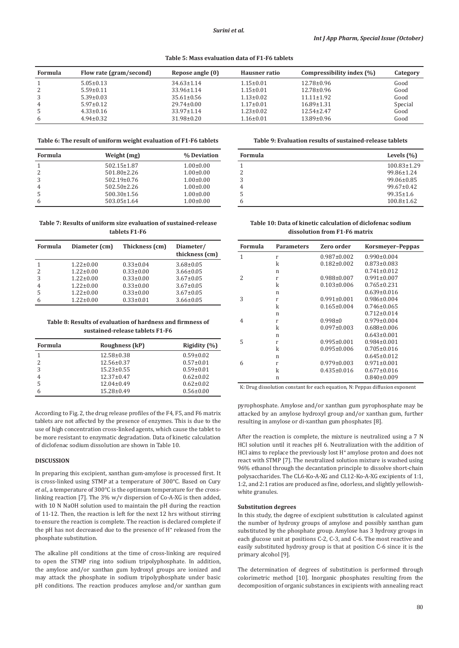**Table 5: Mass evaluation data of F1‑F6 tablets**

| Formula | Flow rate (gram/second) | Repose angle (0) | Hausner ratio   | Compressibility index $(\% )$ | Category |
|---------|-------------------------|------------------|-----------------|-------------------------------|----------|
|         | $5.05 \pm 0.13$         | $34.63 \pm 1.14$ | $1.15 \pm 0.01$ | $12.78 \pm 0.96$              | Good     |
|         | $5.59 \pm 0.11$         | $33.96 \pm 1.14$ | $1.15 \pm 0.01$ | 12.78±0.96                    | Good     |
|         | $5.39 \pm 0.03$         | $35.61 \pm 0.56$ | $1.13 \pm 0.02$ | $11.11 \pm 1.92$              | Good     |
| 4       | $5.97 \pm 0.12$         | $29.74 \pm 0.00$ | $1.17 \pm 0.01$ | $16.89 \pm 1.31$              | Special  |
| 5       | $4.33 \pm 0.16$         | $33.97 \pm 1.14$ | $1.23 \pm 0.02$ | $12.54 \pm 2.47$              | Good     |
| 6       | $4.94 \pm 0.32$         | $31.98 \pm 0.20$ | $1.16 \pm 0.01$ | $13.89 \pm 0.96$              | Good     |

**Table 6: The result of uniform weight evaluation of F1‑F6 tablets**

| Formula | Weight (mg)       | % Deviation     |
|---------|-------------------|-----------------|
|         | $502.15 \pm 1.87$ | $1.00 \pm 0.00$ |
| 2       | $501.80 \pm 2.26$ | $1.00 \pm 0.00$ |
| 3       | $502.19 \pm 0.76$ | $1.00 \pm 0.00$ |
| 4       | $502.50 \pm 2.26$ | $1.00 \pm 0.00$ |
|         | $500.30 \pm 1.56$ | $1.00 \pm 0.00$ |
|         | $503.05 \pm 1.64$ | $1.00 \pm 0.00$ |

**Table 7: Results of uniform size evaluation of sustained‑release tablets F1‑F6**

| Formula       | Diameter (cm)   | Thickness (cm)  | Diameter/<br>thickness (cm) |
|---------------|-----------------|-----------------|-----------------------------|
|               | $1.22 \pm 0.00$ | $0.33 \pm 0.04$ | $3.68 \pm 0.05$             |
| $\mathcal{P}$ | $1.22 \pm 0.00$ | $0.33 \pm 0.00$ | $3.66 \pm 0.05$             |
| 3             | $1.22 \pm 0.00$ | $0.33 \pm 0.00$ | $3.67 \pm 0.05$             |
| 4             | $1.22 \pm 0.00$ | $0.33 \pm 0.00$ | $3.67 \pm 0.05$             |
| 5             | $1.22 \pm 0.00$ | $0.33 \pm 0.00$ | $3.67 \pm 0.05$             |
| 6             | $1.22 \pm 0.00$ | $0.33 \pm 0.01$ | $3.66 \pm 0.05$             |

**Table 8: Results of evaluation of hardness and firmness of sustained‑release tablets F1‑F6**

| <b>Formula</b> | Roughness (kP)   | Rigidity $(%)$  |
|----------------|------------------|-----------------|
|                | 12.58±0.38       | $0.59 \pm 0.02$ |
| 2              | $12.56 \pm 0.37$ | $0.57 \pm 0.01$ |
| 3              | $15.23 \pm 0.55$ | $0.59 \pm 0.01$ |
|                | $12.37 \pm 0.47$ | $0.62 \pm 0.02$ |
| 5              | $12.04 \pm 0.49$ | $0.62 \pm 0.02$ |
| 6              | $15.28 \pm 0.49$ | $0.56 \pm 0.00$ |

According to Fig. 2, the drug release profiles of the F4, F5, and F6 matrix tablets are not affected by the presence of enzymes. This is due to the use of high concentration cross-linked agents, which cause the tablet to be more resistant to enzymatic degradation. Data of kinetic calculation of diclofenac sodium dissolution are shown in Table 10.

# **DISCUSSION**

In preparing this excipient, xanthan gum-amylose is processed first. It is cross-linked using STMP at a temperature of 300°C. Based on Cury *et al*., a temperature of 300°C is the optimum temperature for the crosslinking reaction [7]. The 3% w/v dispersion of Co-A-XG is then added, with 10 N NaOH solution used to maintain the pH during the reaction of 11-12. Then, the reaction is left for the next 12 hrs without stirring to ensure the reaction is complete. The reaction is declared complete if the pH has not decreased due to the presence of H**<sup>+</sup>** released from the phosphate substitution.

The alkaline pH conditions at the time of cross-linking are required to open the STMP ring into sodium tripolyphosphate. In addition, the amylose and/or xanthan gum hydroxyl groups are ionized and may attack the phosphate in sodium tripolyphosphate under basic pH conditions. The reaction produces amylose and/or xanthan gum **Table 9: Evaluation results of sustained‑release tablets**

| Formula | Levels $(\% )$    |
|---------|-------------------|
|         | $100.83 \pm 1.29$ |
| 2       | 99.86±1.24        |
| 3       | 99.06±0.85        |
| 4       | $99.67 \pm 0.42$  |
|         | $99.35 \pm 1.6$   |
| 6       | $100.8 \pm 1.62$  |

**Table 10: Data of kinetic calculation of diclofenac sodium dissolution from F1‑F6 matrix**

| <b>Formula</b> | <b>Parameters</b> | Zero order        | Korsmeyer-Peppas  |
|----------------|-------------------|-------------------|-------------------|
| 1              | r                 | $0.987 \pm 0.002$ | $0.990 \pm 0.004$ |
|                | k                 | $0.182 \pm 0.002$ | $0.873 \pm 0.083$ |
|                | n                 |                   | $0.741 \pm 0.012$ |
| $\overline{2}$ | r                 | $0.988 \pm 0.007$ | $0.991 \pm 0.007$ |
|                | k                 | $0.103 \pm 0.006$ | $0.765 \pm 0.231$ |
|                | n                 |                   | $0.639 \pm 0.016$ |
| 3              | r                 | $0.991 \pm 0.001$ | $0.986 \pm 0.004$ |
|                | k                 | $0.165 \pm 0.004$ | $0.746 \pm 0.065$ |
|                | n                 |                   | $0.712 \pm 0.014$ |
| 4              | r                 | $0.998\pm0$       | $0.979 \pm 0.004$ |
|                | k                 | $0.097 \pm 0.003$ | $0.688 \pm 0.006$ |
|                | n                 |                   | $0.643 \pm 0.001$ |
| 5              | r                 | $0.995 \pm 0.001$ | $0.984 \pm 0.001$ |
|                | k                 | $0.095 \pm 0.006$ | $0.705 \pm 0.016$ |
|                | n                 |                   | $0.645 \pm 0.012$ |
| 6              | r                 | $0.979 \pm 0.003$ | $0.971 \pm 0.001$ |
|                | k                 | $0.435 \pm 0.016$ | $0.677 \pm 0.016$ |
|                | n                 |                   | $0.840 \pm 0.009$ |

K: Drug dissolution constant for each equation, N: Peppas diffusion exponent

pyrophosphate. Amylose and/or xanthan gum pyrophosphate may be attacked by an amylose hydroxyl group and/or xanthan gum, further resulting in amylose or di-xanthan gum phosphates [8].

After the reaction is complete, the mixture is neutralized using a 7 N HCl solution until it reaches pH 6. Neutralization with the addition of HCl aims to replace the previously lost H**<sup>+</sup>** amylose proton and does not react with STMP [7]. The neutralized solution mixture is washed using 96% ethanol through the decantation principle to dissolve short-chain polysaccharides. The CL6-Ko-A-XG and CL12-Ko-A-XG excipients of 1:1, 1:2, and 2:1 ratios are produced as fine, odorless, and slightly yellowishwhite granules.

#### **Substitution degrees**

In this study, the degree of excipient substitution is calculated against the number of hydroxy groups of amylose and possibly xanthan gum substituted by the phosphate group. Amylose has 3 hydroxy groups in each glucose unit at positions C-2, C-3, and C-6. The most reactive and easily substituted hydroxy group is that at position C-6 since it is the primary alcohol [9].

The determination of degrees of substitution is performed through colorimetric method [10]. Inorganic phosphates resulting from the decomposition of organic substances in excipients with annealing react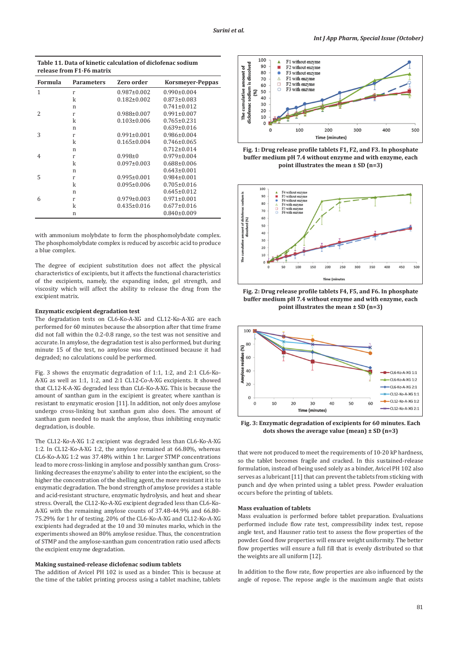**Table 11. Data of kinetic calculation of diclofenac sodium release from F1-F6 matrix**

| Formula | <b>Parameters</b> | Zero order        | Korsmeyer-Peppas  |
|---------|-------------------|-------------------|-------------------|
| 1       | r                 | $0.987 \pm 0.002$ | $0.990 \pm 0.004$ |
|         | k                 | $0.182 \pm 0.002$ | $0.873 \pm 0.083$ |
|         | n                 |                   | $0.741 \pm 0.012$ |
| 2       | r                 | $0.988 \pm 0.007$ | $0.991 \pm 0.007$ |
|         | k                 | $0.103 \pm 0.006$ | $0.765 \pm 0.231$ |
|         | n                 |                   | $0.639 \pm 0.016$ |
| 3       | r                 | $0.991 \pm 0.001$ | $0.986 \pm 0.004$ |
|         | k                 | $0.165 \pm 0.004$ | $0.746 \pm 0.065$ |
|         | n                 |                   | $0.712 \pm 0.014$ |
| 4       | r                 | $0.998 \pm 0$     | $0.979 \pm 0.004$ |
|         | k                 | $0.097 \pm 0.003$ | $0.688 \pm 0.006$ |
|         | n                 |                   | $0.643 \pm 0.001$ |
| 5       | r                 | $0.995 \pm 0.001$ | $0.984 \pm 0.001$ |
|         | k                 | $0.095 \pm 0.006$ | $0.705 \pm 0.016$ |
|         | n                 |                   | $0.645 \pm 0.012$ |
| 6       | r                 | $0.979 \pm 0.003$ | $0.971 \pm 0.001$ |
|         | k                 | $0.435 \pm 0.016$ | $0.677 \pm 0.016$ |
|         | n                 |                   | $0.840 \pm 0.009$ |

with ammonium molybdate to form the phosphomolybdate complex. The phosphomolybdate complex is reduced by ascorbic acid to produce a blue complex.

The degree of excipient substitution does not affect the physical characteristics of excipients, but it affects the functional characteristics of the excipients, namely, the expanding index, gel strength, and viscosity which will affect the ability to release the drug from the excipient matrix.

# **Enzymatic excipient degradation test**

The degradation tests on CL6-Ko-A-XG and CL12-Ko-A-XG are each performed for 60 minutes because the absorption after that time frame did not fall within the 0.2-0.8 range, so the test was not sensitive and accurate. In amylose, the degradation test is also performed, but during minute 15 of the test, no amylose was discontinued because it had degraded; no calculations could be performed.

Fig. 3 shows the enzymatic degradation of 1:1, 1:2, and 2:1 CL6-Ko-A-XG as well as 1:1, 1:2, and 2:1 CL12-Co-A-XG excipients. It showed that CL12-K-A-XG degraded less than CL6-Ko-A-XG. This is because the amount of xanthan gum in the excipient is greater, where xanthan is resistant to enzymatic erosion [11]. In addition, not only does amylose undergo cross-linking but xanthan gum also does. The amount of xanthan gum needed to mask the amylose, thus inhibiting enzymatic degradation, is double.

The CL12-Ko-A-XG 1:2 excipient was degraded less than CL6-Ko-A-XG 1:2. In CL12-Ko-A-XG 1:2, the amylose remained at 66.80%, whereas CL6-Ko-A-XG 1:2 was 37.48% within 1 hr. Larger STMP concentrations lead to more cross-linking in amylose and possibly xanthan gum. Crosslinking decreases the enzyme's ability to enter into the excipient, so the higher the concentration of the shelling agent, the more resistant it is to enzymatic degradation. The bond strength of amylose provides a stable and acid-resistant structure, enzymatic hydrolysis, and heat and shear stress. Overall, the CL12-Ko-A-XG excipient degraded less than CL6-Ko-A-XG with the remaining amylose counts of 37.48-44.9% and 66.80- 75.29% for 1 hr of testing. 20% of the CL6-Ko-A-XG and CL12-Ko-A-XG excipients had degraded at the 10 and 30 minutes marks, which in the experiments showed an 80% amylose residue. Thus, the concentration of STMP and the amylose-xanthan gum concentration ratio used affects the excipient enzyme degradation.

### **Making sustained-release diclofenac sodium tablets**

The addition of Avicel PH 102 is used as a binder. This is because at the time of the tablet printing process using a tablet machine, tablets



**Fig. 1: Drug release profile tablets F1, F2, and F3. In phosphate buffer medium pH 7.4 without enzyme and with enzyme, each point illustrates the mean ± SD (n=3)**



**Fig. 2: Drug release profile tablets F4, F5, and F6. In phosphate buffer medium pH 7.4 without enzyme and with enzyme, each point illustrates the mean ± SD (n=3)**



**Fig. 3: Enzymatic degradation of excipients for 60 minutes. Each dots shows the average value (mean) ± SD (n=3)**

that were not produced to meet the requirements of 10-20 kP hardness, so the tablet becomes fragile and cracked. In this sustained-release formulation, instead of being used solely as a binder, Avicel PH 102 also serves as a lubricant [11] that can prevent the tablets from sticking with punch and dye when printed using a tablet press. Powder evaluation occurs before the printing of tablets.

### **Mass evaluation of tablets**

Mass evaluation is performed before tablet preparation. Evaluations performed include flow rate test, compressibility index test, repose angle test, and Hausner ratio test to assess the flow properties of the powder. Good flow properties will ensure weight uniformity. The better flow properties will ensure a full fill that is evenly distributed so that the weights are all uniform [12].

In addition to the flow rate, flow properties are also influenced by the angle of repose. The repose angle is the maximum angle that exists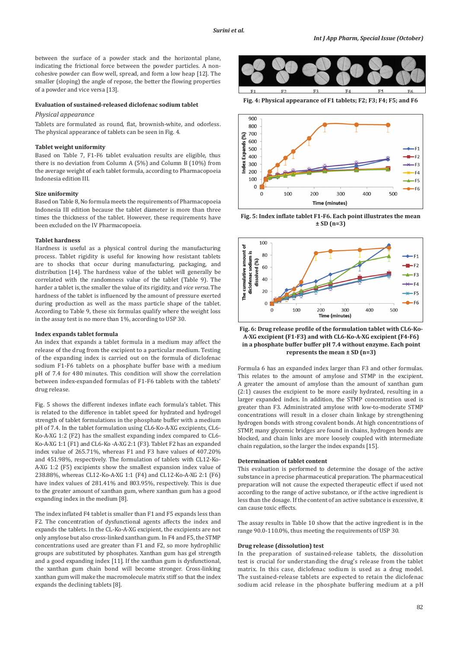between the surface of a powder stack and the horizontal plane, indicating the frictional force between the powder particles. A noncohesive powder can flow well, spread, and form a low heap [12]. The smaller (sloping) the angle of repose, the better the flowing properties of a powder and vice versa [13].

### **Evaluation of sustained-released diclofenac sodium tablet**

### *Physical appearance*

Tablets are formulated as round, flat, brownish-white, and odorless. The physical appearance of tablets can be seen in Fig. 4.

### **Tablet weight uniformity**

Based on Table 7, F1-F6 tablet evaluation results are eligible, thus there is no deviation from Column A (5%) and Column B (10%) from the average weight of each tablet formula, according to Pharmacopoeia Indonesia edition III.

### **Size uniformity**

Based on Table 8, No formula meets the requirements of Pharmacopoeia Indonesia III edition because the tablet diameter is more than three times the thickness of the tablet. However, these requirements have been excluded on the IV Pharmacopoeia.

#### **Tablet hardness**

Hardness is useful as a physical control during the manufacturing process. Tablet rigidity is useful for knowing how resistant tablets are to shocks that occur during manufacturing, packaging, and distribution [14]. The hardness value of the tablet will generally be correlated with the randomness value of the tablet (Table 9). The harder a tablet is, the smaller the value of its rigidity, and *vice versa*. The hardness of the tablet is influenced by the amount of pressure exerted during production as well as the mass particle shape of the tablet. According to Table 9, these six formulas qualify where the weight loss in the assay test is no more than 1%, according to USP 30.

### **Index expands tablet formula**

An index that expands a tablet formula in a medium may affect the release of the drug from the excipient to a particular medium. Testing of the expanding index is carried out on the formula of diclofenac sodium F1-F6 tablets on a phosphate buffer base with a medium pH of 7.4 for 480 minutes. This condition will show the correlation between index-expanded formulas of F1-F6 tablets with the tablets' drug release.

Fig. 5 shows the different indexes inflate each formula's tablet. This is related to the difference in tablet speed for hydrated and hydrogel strength of tablet formulations in the phosphate buffer with a medium pH of 7.4. In the tablet formulation using CL6-Ko-A-XG excipients, CL6- Ko-A-XG 1:2 (F2) has the smallest expanding index compared to CL6- Ko-A-XG 1:1 (F1) and CL6-Ko -A-XG 2:1 (F3). Tablet F2 has an expanded index value of 265.71%, whereas F1 and F3 have values of 407.20% and 451.98%, respectively. The formulation of tablets with CL12-Ko-A-XG 1:2 (F5) excipients show the smallest expansion index value of 238.88%, whereas CL12-Ko-A-XG 1:1 (F4) and CL12-Ko-A-XG 2:1 (F6) have index values of 281.41% and 803.95%, respectively. This is due to the greater amount of xanthan gum, where xanthan gum has a good expanding index in the medium [8].

The index inflated F4 tablet is smaller than F1 and F5 expands less than F2. The concentration of dysfunctional agents affects the index and expands the tablets. In the CL-Ko-A-XG excipient, the excipients are not only amylose but also cross-linked xanthan gum. In F4 and F5, the STMP concentrations used are greater than F1 and F2, so more hydrophilic groups are substituted by phosphates. Xanthan gum has gel strength and a good expanding index [11]. If the xanthan gum is dysfunctional, the xanthan gum chain bond will become stronger. Cross-linking xanthan gum will make the macromolecule matrix stiff so that the index expands the declining tablets [8].



**Fig. 4: Physical appearance of F1 tablets; F2; F3; F4; F5; and F6**



**Fig. 5: Index inflate tablet F1-F6. Each point illustrates the mean ± SD (n=3)**



**Fig. 6: Drug release profile of the formulation tablet with CL6-Ko-A-XG excipient (F1-F3) and with CL6-Ko-A-XG excipient (F4-F6) in a phosphate buffer buffer pH 7.4 without enzyme. Each point represents the mean ± SD (n=3)**

Formula 6 has an expanded index larger than F3 and other formulas. This relates to the amount of amylose and STMP in the excipient. A greater the amount of amylose than the amount of xanthan gum (2:1) causes the excipient to be more easily hydrated, resulting in a larger expanded index. In addition, the STMP concentration used is greater than F3. Administrated amylose with low-to-moderate STMP concentrations will result in a closer chain linkage by strengthening hydrogen bonds with strong covalent bonds. At high concentrations of STMP, many glycemic bridges are found in chains, hydrogen bonds are blocked, and chain links are more loosely coupled with intermediate chain regulation, so the larger the index expands [15].

#### **Determination of tablet content**

This evaluation is performed to determine the dosage of the active substance in a precise pharmaceutical preparation. The pharmaceutical preparation will not cause the expected therapeutic effect if used not according to the range of active substance, or if the active ingredient is less than the dosage. If the content of an active substance is excessive, it can cause toxic effects.

The assay results in Table 10 show that the active ingredient is in the range 90.0-110.0%, thus meeting the requirements of USP 30.

### **Drug release (dissolution) test**

In the preparation of sustained-release tablets, the dissolution test is crucial for understanding the drug's release from the tablet matrix. In this case, diclofenac sodium is used as a drug model. The sustained-release tablets are expected to retain the diclofenac sodium acid release in the phosphate buffering medium at a pH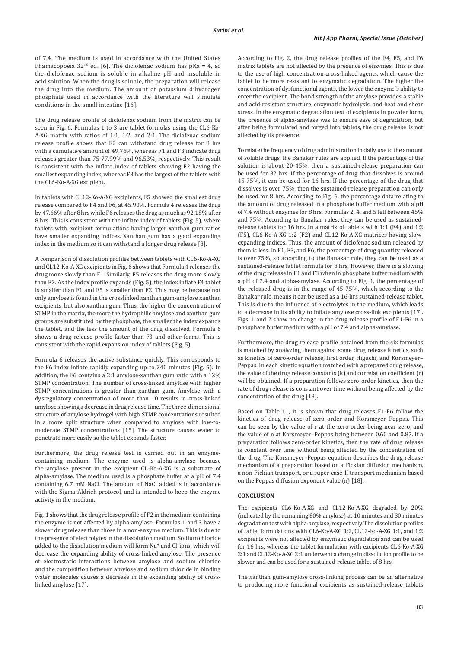of 7.4. The medium is used in accordance with the United States Phamacopoeia  $32<sup>nd</sup>$  ed. [6]. The diclofenac sodium has pKa = 4, so the diclofenac sodium is soluble in alkaline pH and insoluble in acid solution. When the drug is soluble, the preparation will release the drug into the medium. The amount of potassium dihydrogen phosphate used in accordance with the literature will simulate conditions in the small intestine [16].

The drug release profile of diclofenac sodium from the matrix can be seen in Fig. 6. Formulas 1 to 3 are tablet formulas using the CL6-Ko-A-XG matrix with ratios of 1:1, 1:2, and 2:1. The diclofenac sodium release profile shows that F2 can withstand drug release for 8 hrs with a cumulative amount of 49.76%, whereas F1 and F3 indicate drug releases greater than 75-77.99% and 96.53%, respectively. This result is consistent with the inflate index of tablets showing F2 having the smallest expanding index, whereas F3 has the largest of the tablets with the CL6-Ko-A-XG excipient.

In tablets with CL12-Ko-A-XG excipients, F5 showed the smallest drug release compared to F4 and F6, at 45.90%. Formula 4 releases the drug by 47.66% after 8 hrs while F6 releases the drug as much as 92.18% after 8 hrs. This is consistent with the inflate index of tablets (Fig. 5), where tablets with excipient formulations having larger xanthan gum ratios have smaller expanding indices. Xanthan gum has a good expanding index in the medium so it can withstand a longer drug release [8].

A comparison of dissolution profiles between tablets with CL6-Ko-A-XG and CL12-Ko-A-XG excipients in Fig. 6 shows that Formula 4 releases the drug more slowly than F1. Similarly, F5 releases the drug more slowly than F2. As the index profile expands (Fig. 5), the index inflate F4 tablet is smaller than F1 and F5 is smaller than F2. This may be because not only amylose is found in the crosslinked xanthan gum-amylose xanthan excipients, but also xanthan gum. Thus, the higher the concentration of STMP in the matrix, the more the hydrophilic amylose and xanthan gum groups are substituted by the phosphate, the smaller the index expands the tablet, and the less the amount of the drug dissolved. Formula 6 shows a drug release profile faster than F3 and other forms. This is consistent with the rapid expansion index of tablets (Fig. 5).

Formula 6 releases the active substance quickly. This corresponds to the F6 index inflate rapidly expanding up to 240 minutes (Fig. 5). In addition, the F6 contains a 2:1 amylose-xanthan gum ratio with a 12% STMP concentration. The number of cross-linked amylose with higher STMP concentrations is greater than xanthan gum. Amylose with a dysregulatory concentration of more than 10 results in cross-linked amylose showing a decrease in drug release time. The three-dimensional structure of amylose hydrogel with high STMP concentrations resulted in a more split structure when compared to amylose with low-tomoderate STMP concentrations [15]. The structure causes water to penetrate more easily so the tablet expands faster.

Furthermore, the drug release test is carried out in an enzymecontaining medium. The enzyme used is alpha-amylase because the amylose present in the excipient CL-Ko-A-XG is a substrate of alpha-amylase. The medium used is a phosphate buffer at a pH of 7.4 containing 6.7 mM NaCl. The amount of NaCl added is in accordance with the Sigma-Aldrich protocol, and is intended to keep the enzyme activity in the medium.

Fig. 1 shows that the drug release profile of F2 in the medium containing the enzyme is not affected by alpha-amylase. Formulas 1 and 3 have a slower drug release than those in a non-enzyme medium. This is due to the presence of electrolytes in the dissolution medium. Sodium chloride added to the dissolution medium will form Na**<sup>+</sup>** and Cl**-** ions, which will decrease the expanding ability of cross-linked amylose. The presence of electrostatic interactions between amylose and sodium chloride and the competition between amylose and sodium chloride in binding water molecules causes a decrease in the expanding ability of crosslinked amylose [17].

According to Fig. 2, the drug release profiles of the F4, F5, and F6 matrix tablets are not affected by the presence of enzymes. This is due to the use of high concentration cross-linked agents, which cause the tablet to be more resistant to enzymatic degradation. The higher the concentration of dysfunctional agents, the lower the enzyme's ability to enter the excipient. The bond strength of the amylose provides a stable and acid-resistant structure, enzymatic hydrolysis, and heat and shear stress. In the enzymatic degradation test of excipients in powder form, the presence of alpha-amylase was to ensure ease of degradation, but after being formulated and forged into tablets, the drug release is not affected by its presence.

To relate the frequency of drug administration in daily use to the amount of soluble drugs, the Banakar rules are applied. If the percentage of the solution is about 20-45%, then a sustained-release preparation can be used for 32 hrs. If the percentage of drug that dissolves is around 45-75%, it can be used for 16 hrs. If the percentage of the drug that dissolves is over 75%, then the sustained-release preparation can only be used for 8 hrs. According to Fig. 6, the percentage data relating to the amount of drug released in a phosphate buffer medium with a pH of 7.4 without enzymes for 8 hrs, Formulas 2, 4, and 5 fell between 45% and 75%. According to Banakar rules, they can be used as sustainedrelease tablets for 16 hrs. In a matrix of tablets with 1:1 (F4) and 1:2 (F5), CL6-Ko-A-XG 1:2 (F2) and CL12-Ko-A-XG matrices having slowexpanding indices. Thus, the amount of diclofenac sodium released by them is less. In F1, F3, and F6, the percentage of drug quantity released is over 75%, so according to the Banakar rule, they can be used as a sustained-release tablet formula for 8 hrs. However, there is a slowing of the drug release in F1 and F3 when in phosphate buffer medium with a pH of 7.4 and alpha-amylase. According to Fig. 1, the percentage of the released drug is in the range of 45-75%, which according to the Banakar rule, means it can be used as a 16-hrs sustained-release tablet. This is due to the influence of electrolytes in the medium, which leads to a decrease in its ability to inflate amylose cross-link excipients [17]. Figs. 1 and 2 show no change in the drug release profile of F1-F6 in a phosphate buffer medium with a pH of 7.4 and alpha-amylase.

Furthermore, the drug release profile obtained from the six formulas is matched by analyzing them against some drug release kinetics, such as kinetics of zero-order release, first order, Higuchi, and Korsmeyer– Peppas. In each kinetic equation matched with a prepared drug release, the value of the drug release constants (k) and correlation coefficient (r) will be obtained. If a preparation follows zero-order kinetics, then the rate of drug release is constant over time without being affected by the concentration of the drug [18].

Based on Table 11, it is shown that drug releases F1-F6 follow the kinetics of drug release of zero order and Korsmeyer–Peppas. This can be seen by the value of r at the zero order being near zero, and the value of n at Korsmeyer–Peppas being between 0.60 and 0.87. If a preparation follows zero-order kinetics, then the rate of drug release is constant over time without being affected by the concentration of the drug. The Korsmeyer–Peppas equation describes the drug release mechanism of a preparation based on a Fickian diffusion mechanism, a non-Fickian transport, or a super case-II transport mechanism based on the Peppas diffusion exponent value (n) [18].

### **CONCLUSION**

The excipients CL6-Ko-A-XG and CL12-Ko-A-XG degraded by 20% (indicated by the remaining 80% amylose) at 10 minutes and 30 minutes degradation test with alpha-amylase, respectively. The dissolution profiles of tablet formulations with CL6-Ko-A-XG 1:2, CL12-Ko-A-XG 1:1, and 1:2 excipients were not affected by enzymatic degradation and can be used for 16 hrs, whereas the tablet formulation with excipients CL6-Ko-A-XG 2:1 and CL12-Ko-A-XG 2:1 underwent a change in dissolution profile to be slower and can be used for a sustained-release tablet of 8 hrs.

The xanthan gum-amylose cross-linking process can be an alternative to producing more functional excipients as sustained-release tablets